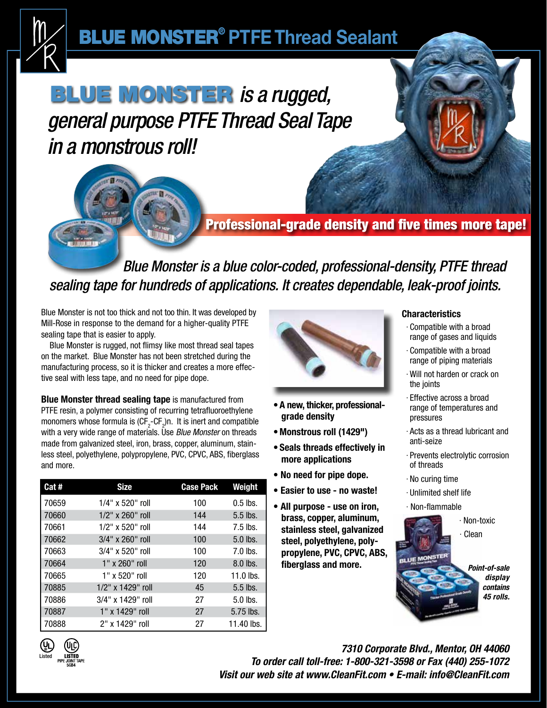

# BLUE MONSTER® **PTFEThread Sealant**

# **BLUE MONSTER is a rugged,** *general purpose PTFE Thread Seal Tape in a monstrous roll!*

### Professional-grade density and five times more tape!

 *Blue Monster is a blue color-coded, professional-density, PTFE thread sealing tape for hundreds of applications. It creates dependable, leak-proof joints.*

Blue Monster is not too thick and not too thin. It was developed by Mill-Rose in response to the demand for a higher-quality PTFE sealing tape that is easier to apply.

 Blue Monster is rugged, not flimsy like most thread seal tapes on the market. Blue Monster has not been stretched during the manufacturing process, so it is thicker and creates a more effective seal with less tape, and no need for pipe dope.

**Blue Monster thread sealing tape** is manufactured from PTFE resin, a polymer consisting of recurring tetrafluoroethylene monomers whose formula is  $(\mathsf{CF}_{2}\text{-}\mathsf{CF}_{2})$ n. It is inert and compatible with a very wide range of materials. Use *Blue Monster* on threads made from galvanized steel, iron, brass, copper, aluminum, stainless steel, polyethylene, polypropylene, PVC, CPVC, ABS, fiberglass and more.

| Cat#  | <b>Size</b>             | <b>Case Pack</b> | <b>Weight</b> |
|-------|-------------------------|------------------|---------------|
| 70659 | $1/4"$ x 520" roll      | 100              | $0.5$ lbs.    |
| 70660 | $1/2"$ x 260" roll      | 144              | $5.5$ lbs.    |
| 70661 | $1/2"$ x 520" roll      | 144              | $7.5$ lbs.    |
| 70662 | $3/4"$ x 260" roll      | 100              | $5.0$ lbs.    |
| 70663 | $3/4"$ x 520" roll      | 100              | $7.0$ lbs.    |
| 70664 | $1"$ x 260" roll        | 120              | $8.0$ lbs.    |
| 70665 | 1" x 520" roll          | 120              | $11.0$ lbs.   |
| 70885 | $1/2$ " x $1429$ " roll | 45               | $5.5$ lbs.    |
| 70886 | $3/4"$ x 1429" roll     | 27               | $5.0$ lbs.    |
| 70887 | 1" x 1429" roll         | 27               | 5.75 lbs.     |
| 70888 | 2" x 1429" roll         | 27               | 11.40 lbs.    |



- **•A new, thicker, professionalgrade density**
- **•Monstrous roll (1429")**
- **• Seals threads effectively in more applications**
- **No need for pipe dope.**
- **Easier to use no waste!**
- **All purpose use on iron, brass, copper, aluminum, stainless steel, galvanized steel, polyethylene, polypropylene, PVC, CPVC, ABS, fiberglass and more.**

#### **Characteristics**

- · Compatible with a broad range of gases and liquids
- · Compatible with a broad range of piping materials
- · Will not harden or crack on the joints
- · Effective across a broad range of temperatures and pressures
- · Acts as a thread lubricant and anti-seize
- · Prevents electrolytic corrosion of threads
- · No curing time
- · Unlimited shelf life
- · Non-flammable





*7310 Corporate Blvd., Mentor, OH 44060 To order call toll-free: 1-800-321-3598 or Fax (440) 255-1072 Visit our web site at www.CleanFit.com • E-mail: info@CleanFit.com*